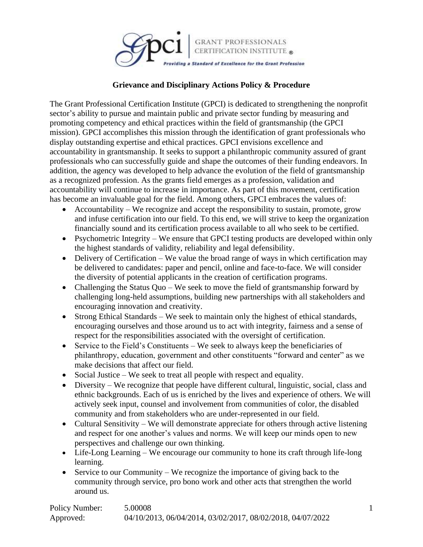

#### **Grievance and Disciplinary Actions Policy & Procedure**

The Grant Professional Certification Institute (GPCI) is dedicated to strengthening the nonprofit sector's ability to pursue and maintain public and private sector funding by measuring and promoting competency and ethical practices within the field of grantsmanship (the GPCI mission). GPCI accomplishes this mission through the identification of grant professionals who display outstanding expertise and ethical practices. GPCI envisions excellence and accountability in grantsmanship. It seeks to support a philanthropic community assured of grant professionals who can successfully guide and shape the outcomes of their funding endeavors. In addition, the agency was developed to help advance the evolution of the field of grantsmanship as a recognized profession. As the grants field emerges as a profession, validation and accountability will continue to increase in importance. As part of this movement, certification has become an invaluable goal for the field. Among others, GPCI embraces the values of:

- Accountability We recognize and accept the responsibility to sustain, promote, grow and infuse certification into our field. To this end, we will strive to keep the organization financially sound and its certification process available to all who seek to be certified.
- Psychometric Integrity We ensure that GPCI testing products are developed within only the highest standards of validity, reliability and legal defensibility.
- Delivery of Certification We value the broad range of ways in which certification may be delivered to candidates: paper and pencil, online and face-to-face. We will consider the diversity of potential applicants in the creation of certification programs.
- Challenging the Status Quo We seek to move the field of grantsmanship forward by challenging long-held assumptions, building new partnerships with all stakeholders and encouraging innovation and creativity.
- Strong Ethical Standards We seek to maintain only the highest of ethical standards, encouraging ourselves and those around us to act with integrity, fairness and a sense of respect for the responsibilities associated with the oversight of certification.
- Service to the Field's Constituents We seek to always keep the beneficiaries of philanthropy, education, government and other constituents "forward and center" as we make decisions that affect our field.
- Social Justice We seek to treat all people with respect and equality.
- Diversity We recognize that people have different cultural, linguistic, social, class and ethnic backgrounds. Each of us is enriched by the lives and experience of others. We will actively seek input, counsel and involvement from communities of color, the disabled community and from stakeholders who are under-represented in our field.
- Cultural Sensitivity We will demonstrate appreciate for others through active listening and respect for one another's values and norms. We will keep our minds open to new perspectives and challenge our own thinking.
- Life-Long Learning We encourage our community to hone its craft through life-long learning.
- Service to our Community We recognize the importance of giving back to the community through service, pro bono work and other acts that strengthen the world around us.

| Policy Number: | 5.00008                                                    |
|----------------|------------------------------------------------------------|
| Approved:      | 04/10/2013, 06/04/2014, 03/02/2017, 08/02/2018, 04/07/2022 |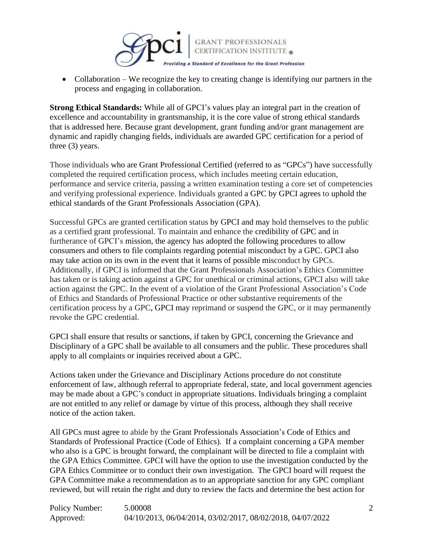

• Collaboration – We recognize the key to creating change is identifying our partners in the process and engaging in collaboration.

**Strong Ethical Standards:** While all of GPCI's values play an integral part in the creation of excellence and accountability in grantsmanship, it is the core value of strong ethical standards that is addressed here. Because grant development, grant funding and/or grant management are dynamic and rapidly changing fields, individuals are awarded GPC certification for a period of three (3) years.

Those individuals who are Grant Professional Certified (referred to as "GPCs") have successfully completed the required certification process, which includes meeting certain education, performance and service criteria, passing a written examination testing a core set of competencies and verifying professional experience. Individuals granted a GPC by GPCI agrees to uphold the ethical standards of the Grant Professionals Association (GPA).

Successful GPCs are granted certification status by GPCI and may hold themselves to the public as a certified grant professional. To maintain and enhance the credibility of GPC and in furtherance of GPCI's mission, the agency has adopted the following procedures to allow consumers and others to file complaints regarding potential misconduct by a GPC. GPCI also may take action on its own in the event that it learns of possible misconduct by GPCs. Additionally, if GPCI is informed that the Grant Professionals Association's Ethics Committee has taken or is taking action against a GPC for unethical or criminal actions, GPCI also will take action against the GPC. In the event of a violation of the Grant Professional Association's Code of Ethics and Standards of Professional Practice or other substantive requirements of the certification process by a GPC, GPCI may reprimand or suspend the GPC, or it may permanently revoke the GPC credential.

GPCI shall ensure that results or sanctions, if taken by GPCI, concerning the Grievance and Disciplinary of a GPC shall be available to all consumers and the public. These procedures shall apply to all complaints or inquiries received about a GPC.

Actions taken under the Grievance and Disciplinary Actions procedure do not constitute enforcement of law, although referral to appropriate federal, state, and local government agencies may be made about a GPC's conduct in appropriate situations. Individuals bringing a complaint are not entitled to any relief or damage by virtue of this process, although they shall receive notice of the action taken.

All GPCs must agree to abide by the Grant Professionals Association's Code of Ethics and Standards of Professional Practice (Code of Ethics). If a complaint concerning a GPA member who also is a GPC is brought forward, the complainant will be directed to file a complaint with the GPA Ethics Committee. GPCI will have the option to use the investigation conducted by the GPA Ethics Committee or to conduct their own investigation. The GPCI board will request the GPA Committee make a recommendation as to an appropriate sanction for any GPC compliant reviewed, but will retain the right and duty to review the facts and determine the best action for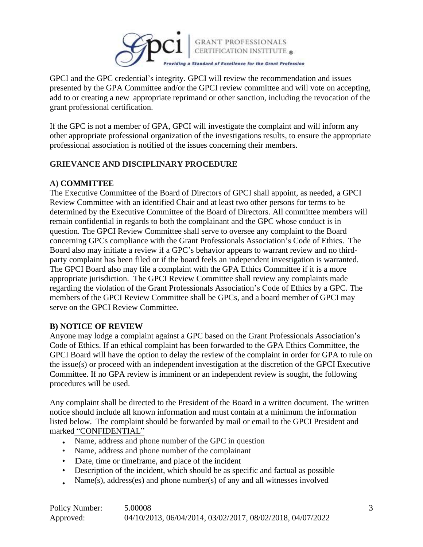

GPCI and the GPC credential's integrity. GPCI will review the recommendation and issues presented by the GPA Committee and/or the GPCI review committee and will vote on accepting, add to or creating a new appropriate reprimand or other sanction, including the revocation of the grant professional certification.

If the GPC is not a member of GPA, GPCI will investigate the complaint and will inform any other appropriate professional organization of the investigations results, to ensure the appropriate professional association is notified of the issues concerning their members.

## **GRIEVANCE AND DISCIPLINARY PROCEDURE**

## **A) COMMITTEE**

The Executive Committee of the Board of Directors of GPCI shall appoint, as needed, a GPCI Review Committee with an identified Chair and at least two other persons for terms to be determined by the Executive Committee of the Board of Directors. All committee members will remain confidential in regards to both the complainant and the GPC whose conduct is in question. The GPCI Review Committee shall serve to oversee any complaint to the Board concerning GPCs compliance with the Grant Professionals Association's Code of Ethics. The Board also may initiate a review if a GPC's behavior appears to warrant review and no thirdparty complaint has been filed or if the board feels an independent investigation is warranted. The GPCI Board also may file a complaint with the GPA Ethics Committee if it is a more appropriate jurisdiction. The GPCI Review Committee shall review any complaints made regarding the violation of the Grant Professionals Association's Code of Ethics by a GPC. The members of the GPCI Review Committee shall be GPCs, and a board member of GPCI may serve on the GPCI Review Committee.

#### **B) NOTICE OF REVIEW**

Anyone may lodge a complaint against a GPC based on the Grant Professionals Association's Code of Ethics. If an ethical complaint has been forwarded to the GPA Ethics Committee, the GPCI Board will have the option to delay the review of the complaint in order for GPA to rule on the issue(s) or proceed with an independent investigation at the discretion of the GPCI Executive Committee. If no GPA review is imminent or an independent review is sought, the following procedures will be used.

Any complaint shall be directed to the President of the Board in a written document. The written notice should include all known information and must contain at a minimum the information listed below. The complaint should be forwarded by mail or email to the GPCI President and marked "CONFIDENTIAL"

- Name, address and phone number of the GPC in question
- Name, address and phone number of the complainant
- Date, time or timeframe, and place of the incident
- Description of the incident, which should be as specific and factual as possible
- Name(s), address(es) and phone number(s) of any and all witnesses involved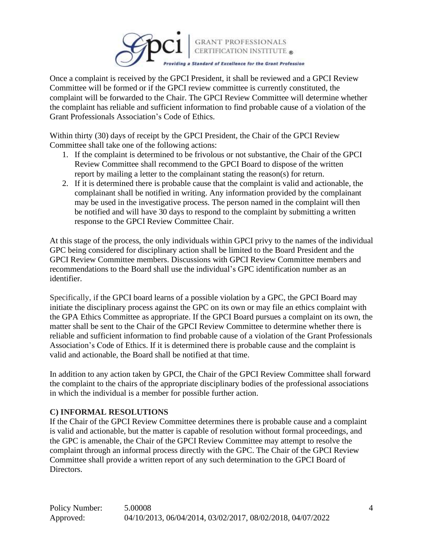

Once a complaint is received by the GPCI President, it shall be reviewed and a GPCI Review Committee will be formed or if the GPCI review committee is currently constituted, the complaint will be forwarded to the Chair. The GPCI Review Committee will determine whether the complaint has reliable and sufficient information to find probable cause of a violation of the Grant Professionals Association's Code of Ethics.

Within thirty (30) days of receipt by the GPCI President, the Chair of the GPCI Review Committee shall take one of the following actions:

- 1. If the complaint is determined to be frivolous or not substantive, the Chair of the GPCI Review Committee shall recommend to the GPCI Board to dispose of the written report by mailing a letter to the complainant stating the reason(s) for return.
- 2. If it is determined there is probable cause that the complaint is valid and actionable, the complainant shall be notified in writing. Any information provided by the complainant may be used in the investigative process. The person named in the complaint will then be notified and will have 30 days to respond to the complaint by submitting a written response to the GPCI Review Committee Chair.

At this stage of the process, the only individuals within GPCI privy to the names of the individual GPC being considered for disciplinary action shall be limited to the Board President and the GPCI Review Committee members. Discussions with GPCI Review Committee members and recommendations to the Board shall use the individual's GPC identification number as an identifier.

Specifically, if the GPCI board learns of a possible violation by a GPC, the GPCI Board may initiate the disciplinary process against the GPC on its own or may file an ethics complaint with the GPA Ethics Committee as appropriate. If the GPCI Board pursues a complaint on its own, the matter shall be sent to the Chair of the GPCI Review Committee to determine whether there is reliable and sufficient information to find probable cause of a violation of the Grant Professionals Association's Code of Ethics. If it is determined there is probable cause and the complaint is valid and actionable, the Board shall be notified at that time.

In addition to any action taken by GPCI, the Chair of the GPCI Review Committee shall forward the complaint to the chairs of the appropriate disciplinary bodies of the professional associations in which the individual is a member for possible further action.

## **C) INFORMAL RESOLUTIONS**

If the Chair of the GPCI Review Committee determines there is probable cause and a complaint is valid and actionable, but the matter is capable of resolution without formal proceedings, and the GPC is amenable, the Chair of the GPCI Review Committee may attempt to resolve the complaint through an informal process directly with the GPC. The Chair of the GPCI Review Committee shall provide a written report of any such determination to the GPCI Board of Directors.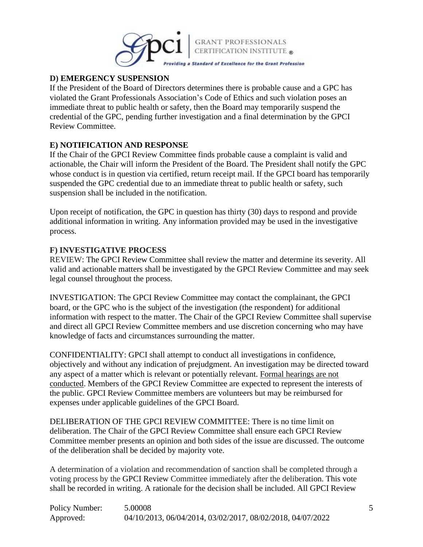

# **D) EMERGENCY SUSPENSION**

If the President of the Board of Directors determines there is probable cause and a GPC has violated the Grant Professionals Association's Code of Ethics and such violation poses an immediate threat to public health or safety, then the Board may temporarily suspend the credential of the GPC, pending further investigation and a final determination by the GPCI Review Committee.

## **E) NOTIFICATION AND RESPONSE**

If the Chair of the GPCI Review Committee finds probable cause a complaint is valid and actionable, the Chair will inform the President of the Board. The President shall notify the GPC whose conduct is in question via certified, return receipt mail. If the GPCI board has temporarily suspended the GPC credential due to an immediate threat to public health or safety, such suspension shall be included in the notification.

Upon receipt of notification, the GPC in question has thirty (30) days to respond and provide additional information in writing. Any information provided may be used in the investigative process.

## **F) INVESTIGATIVE PROCESS**

REVIEW: The GPCI Review Committee shall review the matter and determine its severity. All valid and actionable matters shall be investigated by the GPCI Review Committee and may seek legal counsel throughout the process.

INVESTIGATION: The GPCI Review Committee may contact the complainant, the GPCI board, or the GPC who is the subject of the investigation (the respondent) for additional information with respect to the matter. The Chair of the GPCI Review Committee shall supervise and direct all GPCI Review Committee members and use discretion concerning who may have knowledge of facts and circumstances surrounding the matter.

CONFIDENTIALITY: GPCI shall attempt to conduct all investigations in confidence, objectively and without any indication of prejudgment. An investigation may be directed toward any aspect of a matter which is relevant or potentially relevant. Formal hearings are not conducted. Members of the GPCI Review Committee are expected to represent the interests of the public. GPCI Review Committee members are volunteers but may be reimbursed for expenses under applicable guidelines of the GPCI Board.

DELIBERATION OF THE GPCI REVIEW COMMITTEE: There is no time limit on deliberation. The Chair of the GPCI Review Committee shall ensure each GPCI Review Committee member presents an opinion and both sides of the issue are discussed. The outcome of the deliberation shall be decided by majority vote.

A determination of a violation and recommendation of sanction shall be completed through a voting process by the GPCI Review Committee immediately after the deliberation. This vote shall be recorded in writing. A rationale for the decision shall be included. All GPCI Review

| Policy Number: | 5.00008                                                    |
|----------------|------------------------------------------------------------|
| Approved:      | 04/10/2013, 06/04/2014, 03/02/2017, 08/02/2018, 04/07/2022 |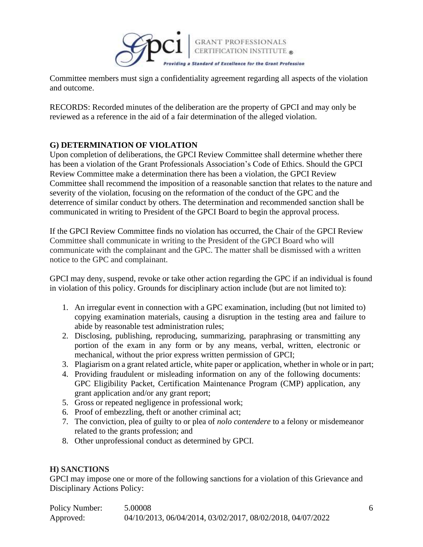

Committee members must sign a confidentiality agreement regarding all aspects of the violation and outcome.

RECORDS: Recorded minutes of the deliberation are the property of GPCI and may only be reviewed as a reference in the aid of a fair determination of the alleged violation.

## **G) DETERMINATION OF VIOLATION**

Upon completion of deliberations, the GPCI Review Committee shall determine whether there has been a violation of the Grant Professionals Association's Code of Ethics. Should the GPCI Review Committee make a determination there has been a violation, the GPCI Review Committee shall recommend the imposition of a reasonable sanction that relates to the nature and severity of the violation, focusing on the reformation of the conduct of the GPC and the deterrence of similar conduct by others. The determination and recommended sanction shall be communicated in writing to President of the GPCI Board to begin the approval process.

If the GPCI Review Committee finds no violation has occurred, the Chair of the GPCI Review Committee shall communicate in writing to the President of the GPCI Board who will communicate with the complainant and the GPC. The matter shall be dismissed with a written notice to the GPC and complainant.

GPCI may deny, suspend, revoke or take other action regarding the GPC if an individual is found in violation of this policy. Grounds for disciplinary action include (but are not limited to):

- 1. An irregular event in connection with a GPC examination, including (but not limited to) copying examination materials, causing a disruption in the testing area and failure to abide by reasonable test administration rules;
- 2. Disclosing, publishing, reproducing, summarizing, paraphrasing or transmitting any portion of the exam in any form or by any means, verbal, written, electronic or mechanical, without the prior express written permission of GPCI;
- 3. Plagiarism on a grant related article, white paper or application, whether in whole or in part;
- 4. Providing fraudulent or misleading information on any of the following documents: GPC Eligibility Packet, Certification Maintenance Program (CMP) application, any grant application and/or any grant report;
- 5. Gross or repeated negligence in professional work;
- 6. Proof of embezzling, theft or another criminal act;
- 7. The conviction, plea of guilty to or plea of *nolo contendere* to a felony or misdemeanor related to the grants profession; and
- 8. Other unprofessional conduct as determined by GPCI.

#### **H) SANCTIONS**

GPCI may impose one or more of the following sanctions for a violation of this Grievance and Disciplinary Actions Policy:

| Policy Number: | 5.00008                                                    |
|----------------|------------------------------------------------------------|
| Approved:      | 04/10/2013, 06/04/2014, 03/02/2017, 08/02/2018, 04/07/2022 |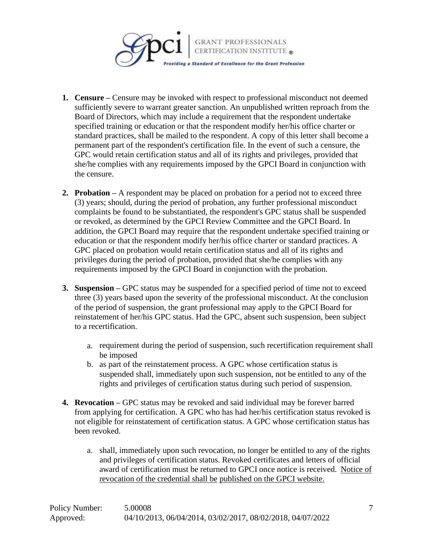

- **1. Censure –** Censure may be invoked with respect to professional misconduct not deemed sufficiently severe to warrant greater sanction. An unpublished written reproach from the Board of Directors, which may include a requirement that the respondent undertake specified training or education or that the respondent modify her/his office charter or standard practices, shall be mailed to the respondent. A copy of this letter shall become a permanent part of the respondent's certification file. In the event of such a censure, the GPC would retain certification status and all of its rights and privileges, provided that she/he complies with any requirements imposed by the GPCI Board in conjunction with the censure.
- **2. Probation –** A respondent may be placed on probation for a period not to exceed three (3) years; should, during the period of probation, any further professional misconduct complaints be found to be substantiated, the respondent's GPC status shall be suspended or revoked, as determined by the GPCI Review Committee and the GPCI Board. In addition, the GPCI Board may require that the respondent undertake specified training or education or that the respondent modify her/his office charter or standard practices. A GPC placed on probation would retain certification status and all of its rights and privileges during the period of probation, provided that she/he complies with any requirements imposed by the GPCI Board in conjunction with the probation.
- **3. Suspension –** GPC status may be suspended for a specified period of time not to exceed three (3) years based upon the severity of the professional misconduct. At the conclusion of the period of suspension, the grant professional may apply to the GPCI Board for reinstatement of her/his GPC status. Had the GPC, absent such suspension, been subject to a recertification.
	- a. requirement during the period of suspension, such recertification requirement shall be imposed
	- b. as part of the reinstatement process. A GPC whose certification status is suspended shall, immediately upon such suspension, not be entitled to any of the rights and privileges of certification status during such period of suspension.
- **4. Revocation –** GPC status may be revoked and said individual may be forever barred from applying for certification. A GPC who has had her/his certification status revoked is not eligible for reinstatement of certification status. A GPC whose certification status has been revoked.
	- a. shall, immediately upon such revocation, no longer be entitled to any of the rights and privileges of certification status. Revoked certificates and letters of official award of certification must be returned to GPCI once notice is received. Notice of revocation of the credential shall be published on the GPCI website.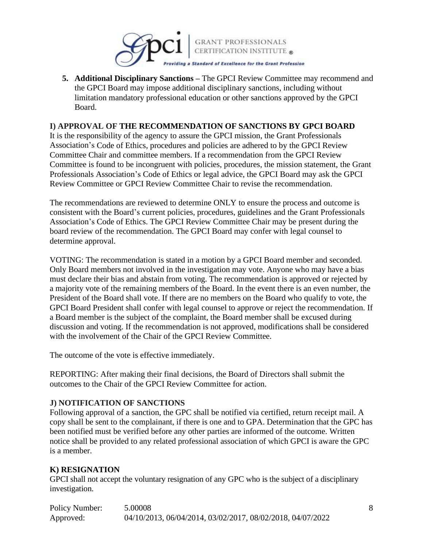

**5. Additional Disciplinary Sanctions –** The GPCI Review Committee may recommend and the GPCI Board may impose additional disciplinary sanctions, including without limitation mandatory professional education or other sanctions approved by the GPCI Board.

#### **I) APPROVAL OF THE RECOMMENDATION OF SANCTIONS BY GPCI BOARD**

It is the responsibility of the agency to assure the GPCI mission, the Grant Professionals Association's Code of Ethics, procedures and policies are adhered to by the GPCI Review Committee Chair and committee members. If a recommendation from the GPCI Review Committee is found to be incongruent with policies, procedures, the mission statement, the Grant Professionals Association's Code of Ethics or legal advice, the GPCI Board may ask the GPCI Review Committee or GPCI Review Committee Chair to revise the recommendation.

The recommendations are reviewed to determine ONLY to ensure the process and outcome is consistent with the Board's current policies, procedures, guidelines and the Grant Professionals Association's Code of Ethics. The GPCI Review Committee Chair may be present during the board review of the recommendation. The GPCI Board may confer with legal counsel to determine approval.

VOTING: The recommendation is stated in a motion by a GPCI Board member and seconded. Only Board members not involved in the investigation may vote. Anyone who may have a bias must declare their bias and abstain from voting. The recommendation is approved or rejected by a majority vote of the remaining members of the Board. In the event there is an even number, the President of the Board shall vote. If there are no members on the Board who qualify to vote, the GPCI Board President shall confer with legal counsel to approve or reject the recommendation. If a Board member is the subject of the complaint, the Board member shall be excused during discussion and voting. If the recommendation is not approved, modifications shall be considered with the involvement of the Chair of the GPCI Review Committee.

The outcome of the vote is effective immediately.

REPORTING: After making their final decisions, the Board of Directors shall submit the outcomes to the Chair of the GPCI Review Committee for action.

#### **J) NOTIFICATION OF SANCTIONS**

Following approval of a sanction, the GPC shall be notified via certified, return receipt mail. A copy shall be sent to the complainant, if there is one and to GPA. Determination that the GPC has been notified must be verified before any other parties are informed of the outcome. Written notice shall be provided to any related professional association of which GPCI is aware the GPC is a member.

#### **K) RESIGNATION**

GPCI shall not accept the voluntary resignation of any GPC who is the subject of a disciplinary investigation.

| Policy Number: | 5.00008                                                    |
|----------------|------------------------------------------------------------|
| Approved:      | 04/10/2013, 06/04/2014, 03/02/2017, 08/02/2018, 04/07/2022 |